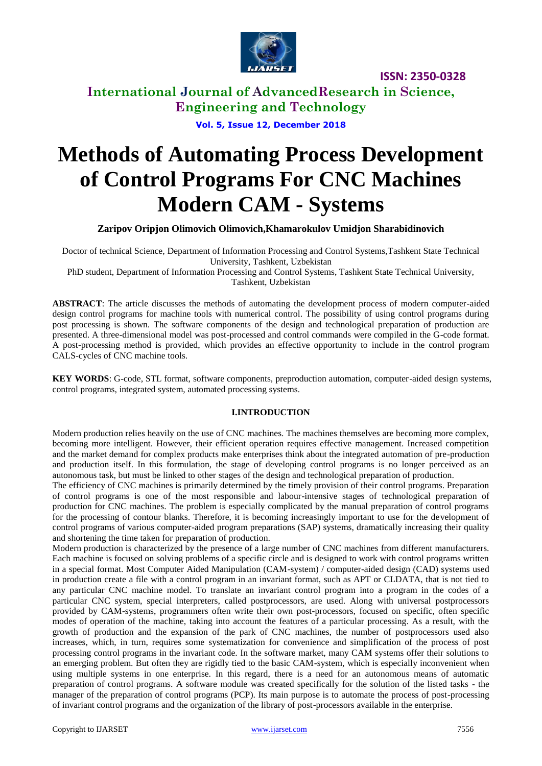

**International Journal of AdvancedResearch in Science, Engineering and Technology**

**Vol. 5, Issue 12, December 2018**

# **Methods of Automating Process Development of Control Programs For CNC Machines Modern CAM - Systems**

**Zaripov Oripjon Olimovich Olimovich,Khamarokulov Umidjon Sharabidinovich**

Doctor of technical Science, Department of Information Processing and Control Systems,Tashkent State Technical University, Tashkent, Uzbekistan

PhD student, Department of Information Processing and Control Systems, Tashkent State Technical University, Tashkent, Uzbekistan

**ABSTRACT**: The article discusses the methods of automating the development process of modern computer-aided design control programs for machine tools with numerical control. The possibility of using control programs during post processing is shown. The software components of the design and technological preparation of production are presented. A three-dimensional model was post-processed and control commands were compiled in the G-code format. A post-processing method is provided, which provides an effective opportunity to include in the control program CALS-cycles of CNC machine tools.

**KEY WORDS**: G-code, STL format, software components, preproduction automation, computer-aided design systems, control programs, integrated system, automated processing systems.

#### **I.INTRODUCTION**

Modern production relies heavily on the use of CNC machines. The machines themselves are becoming more complex, becoming more intelligent. However, their efficient operation requires effective management. Increased competition and the market demand for complex products make enterprises think about the integrated automation of pre-production and production itself. In this formulation, the stage of developing control programs is no longer perceived as an autonomous task, but must be linked to other stages of the design and technological preparation of production.

The efficiency of CNC machines is primarily determined by the timely provision of their control programs. Preparation of control programs is one of the most responsible and labour-intensive stages of technological preparation of production for CNC machines. The problem is especially complicated by the manual preparation of control programs for the processing of contour blanks. Therefore, it is becoming increasingly important to use for the development of control programs of various computer-aided program preparations (SAP) systems, dramatically increasing their quality and shortening the time taken for preparation of production.

Modern production is characterized by the presence of a large number of CNC machines from different manufacturers. Each machine is focused on solving problems of a specific circle and is designed to work with control programs written in a special format. Most Computer Aided Manipulation (CAM-system) / computer-aided design (CAD) systems used in production create a file with a control program in an invariant format, such as APT or CLDATA, that is not tied to any particular CNC machine model. To translate an invariant control program into a program in the codes of a particular CNC system, special interpreters, called postprocessors, are used. Along with universal postprocessors provided by CAM-systems, programmers often write their own post-processors, focused on specific, often specific modes of operation of the machine, taking into account the features of a particular processing. As a result, with the growth of production and the expansion of the park of CNC machines, the number of postprocessors used also increases, which, in turn, requires some systematization for convenience and simplification of the process of post processing control programs in the invariant code. In the software market, many CAM systems offer their solutions to an emerging problem. But often they are rigidly tied to the basic CAM-system, which is especially inconvenient when using multiple systems in one enterprise. In this regard, there is a need for an autonomous means of automatic preparation of control programs. A software module was created specifically for the solution of the listed tasks - the manager of the preparation of control programs (PCP). Its main purpose is to automate the process of post-processing of invariant control programs and the organization of the library of post-processors available in the enterprise.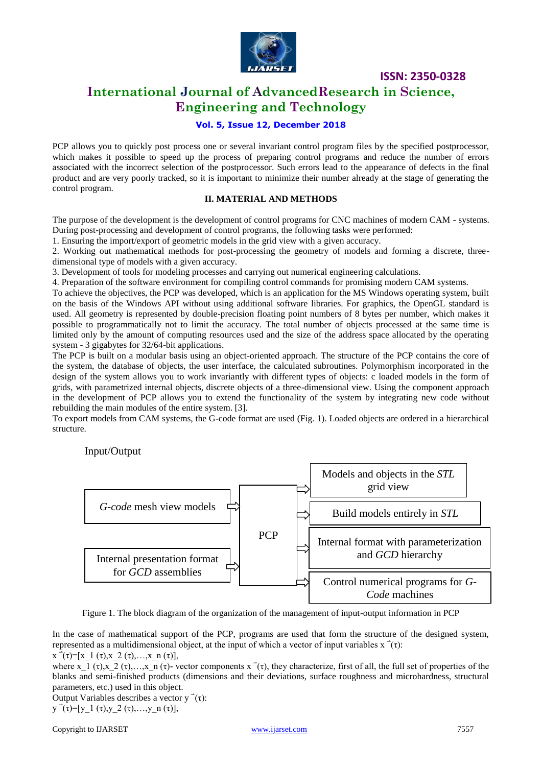

## **International Journal of AdvancedResearch in Science, Engineering and Technology**

#### **Vol. 5, Issue 12, December 2018**

PCP allows you to quickly post process one or several invariant control program files by the specified postprocessor, which makes it possible to speed up the process of preparing control programs and reduce the number of errors associated with the incorrect selection of the postprocessor. Such errors lead to the appearance of defects in the final product and are very poorly tracked, so it is important to minimize their number already at the stage of generating the control program.

#### **II. MATERIAL AND METHODS**

The purpose of the development is the development of control programs for CNC machines of modern CAM - systems. During post-processing and development of control programs, the following tasks were performed:

1. Ensuring the import/export of geometric models in the grid view with a given accuracy.

2. Working out mathematical methods for post-processing the geometry of models and forming a discrete, threedimensional type of models with a given accuracy.

3. Development of tools for modeling processes and carrying out numerical engineering calculations.

4. Preparation of the software environment for compiling control commands for promising modern CAM systems.

To achieve the objectives, the PCP was developed, which is an application for the MS Windows operating system, built on the basis of the Windows API without using additional software libraries. For graphics, the OpenGL standard is used. All geometry is represented by double-precision floating point numbers of 8 bytes per number, which makes it possible to programmatically not to limit the accuracy. The total number of objects processed at the same time is limited only by the amount of computing resources used and the size of the address space allocated by the operating system - 3 gigabytes for 32/64-bit applications.

The PCP is built on a modular basis using an object-oriented approach. The structure of the PCP contains the core of the system, the database of objects, the user interface, the calculated subroutines. Polymorphism incorporated in the design of the system allows you to work invariantly with different types of objects: c loaded models in the form of grids, with parametrized internal objects, discrete objects of a three-dimensional view. Using the component approach in the development of PCP allows you to extend the functionality of the system by integrating new code without rebuilding the main modules of the entire system. [3].

To export models from CAM systems, the G-code format are used (Fig. 1). Loaded objects are ordered in a hierarchical structure.

Input/Output



Figure 1. The block diagram of the organization of the management of input-output information in PCP

In the case of mathematical support of the PCP, programs are used that form the structure of the designed system, represented as a multidimensional object, at the input of which a vector of input variables  $x^-(\tau)$ :  $x^{-1}(\tau)=[x\;1(\tau),x\;2(\tau),...,x\;n(\tau)],$ 

where x  $1 (\tau)$ ,  $x_2 (\tau)$ ,  $x_n (\tau)$ - vector components  $x (\tau)$ , they characterize, first of all, the full set of properties of the blanks and semi-finished products (dimensions and their deviations, surface roughness and microhardness, structural parameters, etc.) used in this object.

Output Variables describes a vector  $y^-(\tau)$ :

y  $\vec{\tau}(\tau)$ =[y\_1 (τ),y\_2 (τ),...,y\_n (τ)],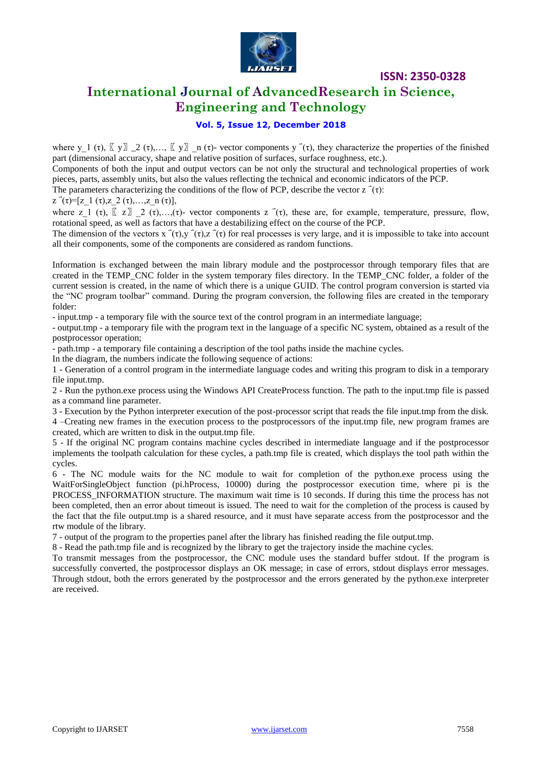

## **International Journal of AdvancedResearch in Science, Engineering and Technology**

#### **Vol. 5, Issue 12, December 2018**

where y\_1 (τ),  $\lbrack \lbrack y \rbrack \rbrack = 2$  (τ),…,  $\lbrack \lbrack y \rbrack \rbrack = n$  (τ)- vector components y  $\dot{}(\tau)$ , they characterize the properties of the finished part (dimensional accuracy, shape and relative position of surfaces, surface roughness, etc.).

Components of both the input and output vectors can be not only the structural and technological properties of work pieces, parts, assembly units, but also the values reflecting the technical and economic indicators of the PCP.

The parameters characterizing the conditions of the flow of PCP, describe the vector  $z^-(\tau)$ :

 $z^-(\tau)=[z\;1(\tau),z\;2(\tau),...,z\;n(\tau)],$ 

where z 1 (τ),  $\begin{bmatrix} z \end{bmatrix}$  2 (τ),...,(τ)- vector components z (τ), these are, for example, temperature, pressure, flow, rotational speed, as well as factors that have a destabilizing effect on the course of the PCP.

The dimension of the vectors  $x^-(\tau)$ ,  $y^-(\tau)$ ,  $z^-(\tau)$  for real processes is very large, and it is impossible to take into account all their components, some of the components are considered as random functions.

Information is exchanged between the main library module and the postprocessor through temporary files that are created in the TEMP\_CNC folder in the system temporary files directory. In the TEMP\_CNC folder, a folder of the current session is created, in the name of which there is a unique GUID. The control program conversion is started via the "NC program toolbar" command. During the program conversion, the following files are created in the temporary folder:

- input.tmp - a temporary file with the source text of the control program in an intermediate language;

- output.tmp - a temporary file with the program text in the language of a specific NC system, obtained as a result of the postprocessor operation;

- path.tmp - a temporary file containing a description of the tool paths inside the machine cycles.

In the diagram, the numbers indicate the following sequence of actions:

1 - Generation of a control program in the intermediate language codes and writing this program to disk in a temporary file input.tmp.

2 - Run the python.exe process using the Windows API CreateProcess function. The path to the input.tmp file is passed as a command line parameter.

3 - Execution by the Python interpreter execution of the post-processor script that reads the file input.tmp from the disk. 4 –Creating new frames in the execution process to the postprocessors of the input.tmp file, new program frames are created, which are written to disk in the output.tmp file.

5 - If the original NC program contains machine cycles described in intermediate language and if the postprocessor implements the toolpath calculation for these cycles, a path.tmp file is created, which displays the tool path within the cycles.

6 - The NC module waits for the NC module to wait for completion of the python.exe process using the WaitForSingleObject function (pi.hProcess, 10000) during the postprocessor execution time, where pi is the PROCESS INFORMATION structure. The maximum wait time is 10 seconds. If during this time the process has not been completed, then an error about timeout is issued. The need to wait for the completion of the process is caused by the fact that the file output.tmp is a shared resource, and it must have separate access from the postprocessor and the rtw module of the library.

7 - output of the program to the properties panel after the library has finished reading the file output.tmp.

8 - Read the path.tmp file and is recognized by the library to get the trajectory inside the machine cycles.

To transmit messages from the postprocessor, the CNC module uses the standard buffer stdout. If the program is successfully converted, the postprocessor displays an OK message; in case of errors, stdout displays error messages. Through stdout, both the errors generated by the postprocessor and the errors generated by the python.exe interpreter are received.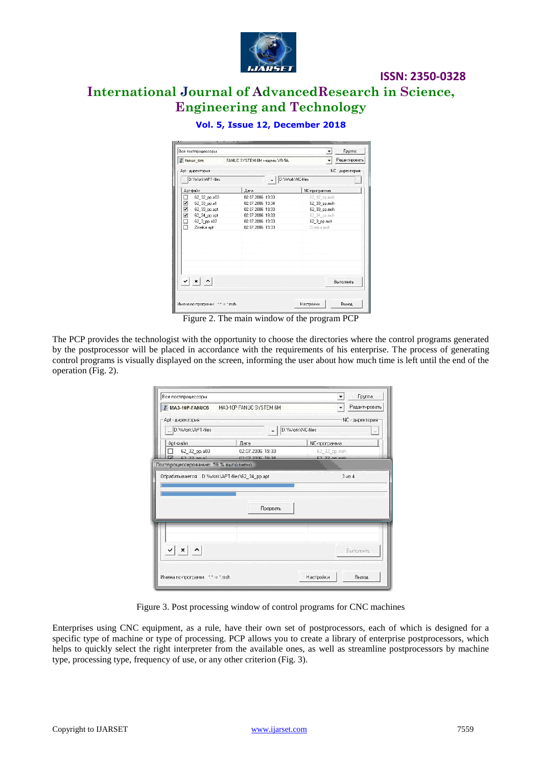

# **International Journal of AdvancedResearch in Science, Engineering and Technology**

| Все постпроцессоры | <b>Группа:</b>                                        |                  |                  |                               |  |  |  |
|--------------------|-------------------------------------------------------|------------------|------------------|-------------------------------|--|--|--|
|                    | $\ddot{}$<br>fanuc 6m<br>FANHC SYSTEM 6M Modern VB-5A |                  |                  |                               |  |  |  |
|                    | Apt - директория                                      |                  |                  | NC - директория               |  |  |  |
|                    | D:\Work\APT-files                                     | $=$              | D:\Work\NC-files | $\mathcal{L}_{\mathcal{F}}$ . |  |  |  |
|                    | Apt-файл                                              | Лата             | NC-программа     |                               |  |  |  |
| □                  | 62_32_pp.a03                                          | 02.07.2006 19:33 | 62 32 pp.msh     |                               |  |  |  |
| ⊡                  | 62_33_pp.a1                                           | 02.07.2006 19:34 | 62_33_pp.msh     |                               |  |  |  |
| ☑                  | 62 33 pp.apt                                          | 02.07.2006 19:33 | 62 33 pp.msh     |                               |  |  |  |
| ⊻                  | 62_34_pp.apt                                          | 02.07.2006 19:33 | 62_34_pp.msh     |                               |  |  |  |
| □                  | 62_3_pp.a02                                           | 02.07.2006 19:33 | 62 3 pp.msh      |                               |  |  |  |
| п                  | Zmeika.apt                                            | 02.07.2006 19:33 | Zmeika.msh       |                               |  |  |  |
|                    |                                                       |                  |                  |                               |  |  |  |
|                    | $\vee$ $\times$ $\wedge$                              |                  |                  | Выполнить                     |  |  |  |
|                    |                                                       |                  |                  |                               |  |  |  |

#### **Vol. 5, Issue 12, December 2018**

Figure 2. The main window of the program PCP

The PCP provides the technologist with the opportunity to choose the directories where the control programs generated by the postprocessor will be placed in accordance with the requirements of his enterprise. The process of generating control programs is visually displayed on the screen, informing the user about how much time is left until the end of the operation (Fig. 2).

| MA3-10P-FANUC6 MA3-10P FANUC SYSTEM 6M<br>÷                                 |                  |                              |  |  |  |  |
|-----------------------------------------------------------------------------|------------------|------------------------------|--|--|--|--|
| Apt - директория:                                                           |                  | NC - директория:             |  |  |  |  |
| D:\Work\APT-files                                                           | $=$              | D:\Work\NC-files<br>$\cdots$ |  |  |  |  |
| Apt-файл                                                                    | Лата             | <b>NC-программа</b>          |  |  |  |  |
| 62_32_pp.a03                                                                | 02.07.2006 19:33 | 62_32 pp.msh                 |  |  |  |  |
| $62.22$ no. a1<br>Постпроцессирование: 59 % выполнено                       | 02.07.2006 19:34 | $62.22$ pp.msh               |  |  |  |  |
|                                                                             |                  |                              |  |  |  |  |
|                                                                             |                  | 3 <sub>43</sub>              |  |  |  |  |
|                                                                             | Прервать         |                              |  |  |  |  |
| Обрабатывается: D:\\Work\APT-files\62_34_pp.apt<br>$\vee$ $\times$ $\wedge$ |                  | Выполнить                    |  |  |  |  |

Figure 3. Post processing window of control programs for CNC machines

Enterprises using CNC equipment, as a rule, have their own set of postprocessors, each of which is designed for a specific type of machine or type of processing. PCP allows you to create a library of enterprise postprocessors, which helps to quickly select the right interpreter from the available ones, as well as streamline postprocessors by machine type, processing type, frequency of use, or any other criterion (Fig. 3).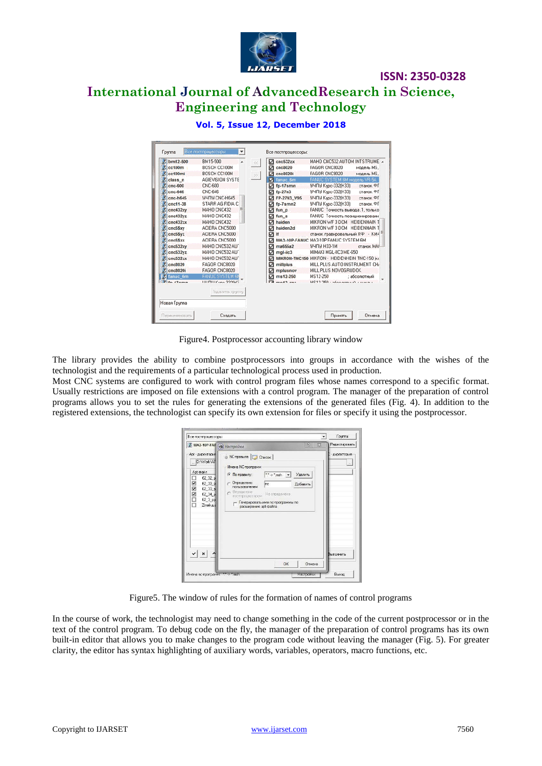

# **ISSN: 2350-0328 International Journal of AdvancedResearch in Science, Engineering and Technology**

| $bm12-500$             | BM15-500<br>×.          | RK I             | cnc532zx<br>☑  | MAHO CNC532 AUTOM INTSTRUME A                 |              |
|------------------------|-------------------------|------------------|----------------|-----------------------------------------------|--------------|
| cc100m                 | BOSCH CC100M            |                  | cnc8020<br>罓   | FAGOR CNC8020                                 | модель MS.   |
| cc100mi                | BOSCH CC100M            | $\overline{\gg}$ | cnc8020i       | FAGOR CNC8020                                 | модель MS.   |
| class n                | <b>AGIEVISION SYSTE</b> |                  | fanuc 6m       | FANLIC SYSTEM 6M MODERN VR-5A                 |              |
| $cnc-600$              | <b>CNC-600</b>          |                  | fp-17smn       | УЧПУ Кчрс-332(Н33)                            | станок ФГ    |
| cnc-646                | <b>CNC-646</b>          |                  | $fp-27n3$<br>罓 | УЧПУ Курс-332(Н33) станок ФГ                  |              |
| $cnc-h645$             | <b>MHUH CNC-H645</b>    |                  | FP-27N3 V95    | УЧПУ Курс-332(Н33) станок ФГ                  |              |
| cnc11-38               | STARR AG FIDIA C        |                  | $fp$ -7smn2    | <b>УЧПУ Курс-332(Н33)</b>                     | станок ФГ    |
| cnc432xy               | MAHO CNC432             |                  | fun p<br>罓     | FANUC Точность вывода .1, только              |              |
| cnc432yz               | MAHO CNC432             |                  | ☑<br>fun s     | FANUC Точность позиционировани                |              |
| cnc432zx               | MAHO CNC432             |                  | haiden         | MIKRON WF 3 DCM HEIDENHAIN 1                  |              |
| cnc5\$xv               | ACIERA CNC5000          |                  | haiden2d<br>⊽  | MIKRON WF 3 DCM HEIDENHAIN T                  |              |
| cnc5\$yz               | ACIERA CNC5000          |                  | ☑<br>If        | станок гравировальный ЛФ - КМ4                |              |
| cnc5\$zx               | ACIERA CNC5000          |                  |                | MA3-10P-FANUC MA3-10P FANUC SYSTEM 6M         |              |
| cnc532xy               | MAHO CNC532 AU'         |                  | ma655a2<br>☑   | УЧПУ НЗЗ-1М                                   | станок МАЛ   |
| cnc532yz               | MAHO CNC532 AU'         |                  | mgl-iic3<br>⊽  | MIMAKI MGL-IIC3 ME-650                        |              |
| cnc532zx               | MAHO CNC532 AU'         |                  | ⊽              | MIKRON-TNC150 MIKRON - HEIDENHEIN TNC-150 [KK |              |
| cnc8020                | FAGOR CNC8020           |                  | millplus<br>罓  | MILL PLUS AUTO INSTRUMENT CH/                 |              |
| cnc8020i               | FAGOR CNC8020           |                  | mplusnov       | MILL PLUS NOVOGRUDOK                          |              |
| fanuc 6m               | <b>FANUE SYSTEM BI</b>  |                  | $ms12-250$     | MS12-250                                      | : абсолютный |
| $\frac{1}{2}$ in 470mm | LILIDIL Kuss 222BC      |                  | $ma42$ ray     | MC12.250 - «Googless of Line at L             |              |
|                        | Удалить группу          |                  |                |                                               |              |
|                        |                         |                  |                |                                               |              |
| Hosas Fpunna           |                         |                  |                |                                               |              |
|                        |                         |                  |                |                                               |              |

#### **Vol. 5, Issue 12, December 2018**

Figure4. Postprocessor accounting library window

The library provides the ability to combine postprocessors into groups in accordance with the wishes of the technologist and the requirements of a particular technological process used in production.

Most CNC systems are configured to work with control program files whose names correspond to a specific format. Usually restrictions are imposed on file extensions with a control program. The manager of the preparation of control programs allows you to set the rules for generating the extensions of the generated files (Fig. 4). In addition to the registered extensions, the technologist can specify its own extension for files or specify it using the postprocessor.

| MA3-10P-FAI (@ Hactpoйku                                                                                                                                    | 8<br>$\Sigma$                                                                                                                                                                                                                                                                                           | Редактировать        |
|-------------------------------------------------------------------------------------------------------------------------------------------------------------|---------------------------------------------------------------------------------------------------------------------------------------------------------------------------------------------------------------------------------------------------------------------------------------------------------|----------------------|
| Apt - директория<br>D:\Work\AF<br>Apt-pañn<br>62, 32, 6<br>V<br>$62 - 33$<br>$\overline{\phantom{0}}$<br>62_33_p<br>Ě<br>62 34 p<br>62_3_pp<br>п<br>Zmeika. | • NC-правила   Список  <br>Имена NC-программ<br>$\therefore$ > *.msh $\blacktriangleright$<br>Удалить<br>• По правилу:<br>Определено<br>Inc<br>Добавить<br>пользователем<br>Определено<br>$\mathcal{C}$<br>Не определено<br>постпроцессором<br>Генерировать имя пс-программы по<br>расширению apt-файла | - директория<br>1.14 |
| $\boldsymbol{\mathsf{x}}$<br>Имена nc-программ: *.* > *.msh                                                                                                 | OK<br>Отмена<br>Насторки                                                                                                                                                                                                                                                                                | Выполнить<br>Выход   |

Figure5. The window of rules for the formation of names of control programs

In the course of work, the technologist may need to change something in the code of the current postprocessor or in the text of the control program. To debug code on the fly, the manager of the preparation of control programs has its own built-in editor that allows you to make changes to the program code without leaving the manager (Fig. 5). For greater clarity, the editor has syntax highlighting of auxiliary words, variables, operators, macro functions, etc.